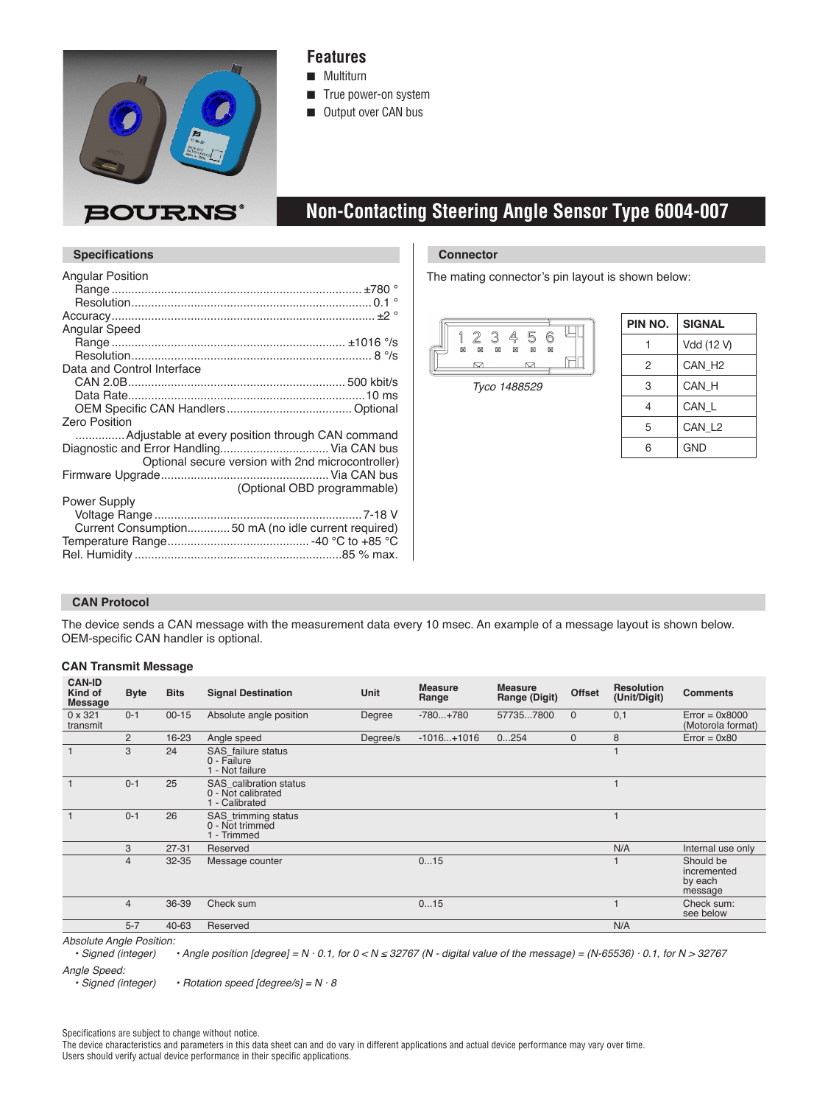

### **Features**

- **n** Multiturn
- True power-on system
- **n** Output over CAN bus

### **BOURNS®**

### **Non-Contacting Steering Angle Sensor Type 6004-007**

| <b>Angular Position</b>    |                                                     |
|----------------------------|-----------------------------------------------------|
|                            |                                                     |
|                            |                                                     |
|                            |                                                     |
| Angular Speed              |                                                     |
|                            |                                                     |
|                            |                                                     |
| Data and Control Interface |                                                     |
|                            |                                                     |
|                            |                                                     |
|                            |                                                     |
| <b>Zero Position</b>       |                                                     |
|                            | Adjustable at every position through CAN command    |
|                            | Diagnostic and Error Handling Via CAN bus           |
|                            | Optional secure version with 2nd microcontroller)   |
|                            |                                                     |
|                            | (Optional OBD programmable)                         |
| <b>Power Supply</b>        |                                                     |
|                            |                                                     |
|                            | Current Consumption50 mA (no idle current required) |
|                            |                                                     |
|                            |                                                     |
|                            |                                                     |

#### **Specifications Connector**

The mating connector's pin layout is shown below:



Tyco 1488529

| PIN NO. | <b>SIGNAL</b>      |
|---------|--------------------|
|         | Vdd (12 V)         |
| 2       | CAN H <sub>2</sub> |
| 3       | CAN H              |
| 4       | CAN L              |
| 5       | CAN L <sub>2</sub> |
| 6       | <b>GND</b>         |

#### **CAN Protocol**

The device sends a CAN message with the measurement data every 10 msec. An example of a message layout is shown below. OEM-specific CAN handler is optional.

#### **CAN Transmit Message**

| <b>CAN-ID</b><br>Kind of<br><b>Message</b> | <b>Byte</b>    | <b>Bits</b> | <b>Signal Destination</b>                                             | Unit     | <b>Measure</b><br>Range | <b>Measure</b><br>Range (Digit) | <b>Offset</b> | <b>Resolution</b><br>(Unit/Digit) | <b>Comments</b>                                |
|--------------------------------------------|----------------|-------------|-----------------------------------------------------------------------|----------|-------------------------|---------------------------------|---------------|-----------------------------------|------------------------------------------------|
| $0 \times 321$<br>transmit                 | $0 - 1$        | $00 - 15$   | Absolute angle position                                               | Degree   | $-780+780$              | 577357800                       | $\mathbf{0}$  | 0,1                               | $Error = 0x8000$<br>(Motorola format)          |
|                                            | $\overline{2}$ | 16-23       | Angle speed                                                           | Degree/s | $-1016+1016$            | 0254                            | $\mathbf{0}$  | 8                                 | $Error = 0x80$                                 |
|                                            | 3              | 24          | SAS failure status<br>0 - Failure<br>1 - Not failure                  |          |                         |                                 |               |                                   |                                                |
|                                            | $0 - 1$        | 25          | <b>SAS</b> calibration status<br>0 - Not calibrated<br>1 - Calibrated |          |                         |                                 |               |                                   |                                                |
|                                            | $0 - 1$        | 26          | SAS_trimming status<br>0 - Not trimmed<br>1 - Trimmed                 |          |                         |                                 |               |                                   |                                                |
|                                            | 3              | $27 - 31$   | Reserved                                                              |          |                         |                                 |               | N/A                               | Internal use only                              |
|                                            | $\overline{4}$ | $32 - 35$   | Message counter                                                       |          | 015                     |                                 |               |                                   | Should be<br>incremented<br>by each<br>message |
|                                            | $\overline{4}$ | 36-39       | Check sum                                                             |          | 015                     |                                 |               |                                   | Check sum:<br>see below                        |
|                                            | $5 - 7$        | 40-63       | Reserved                                                              |          |                         |                                 |               | N/A                               |                                                |

*Absolute Angle Position:*

• Angle position [degree] = N · 0.1, for 0 < N ≤ 32767 (N - digital value of the message) = (N-65536) · 0.1, for N > 32767

Angle Speed:<br>Signed (integer) • Rotation speed [degree/s] =  $N \cdot 8$ 

Specifications are subject to change without notice.

The device characteristics and parameters in this data sheet can and do vary in different applications and actual device performance may vary over time. Users should verify actual device performance in their specific applications.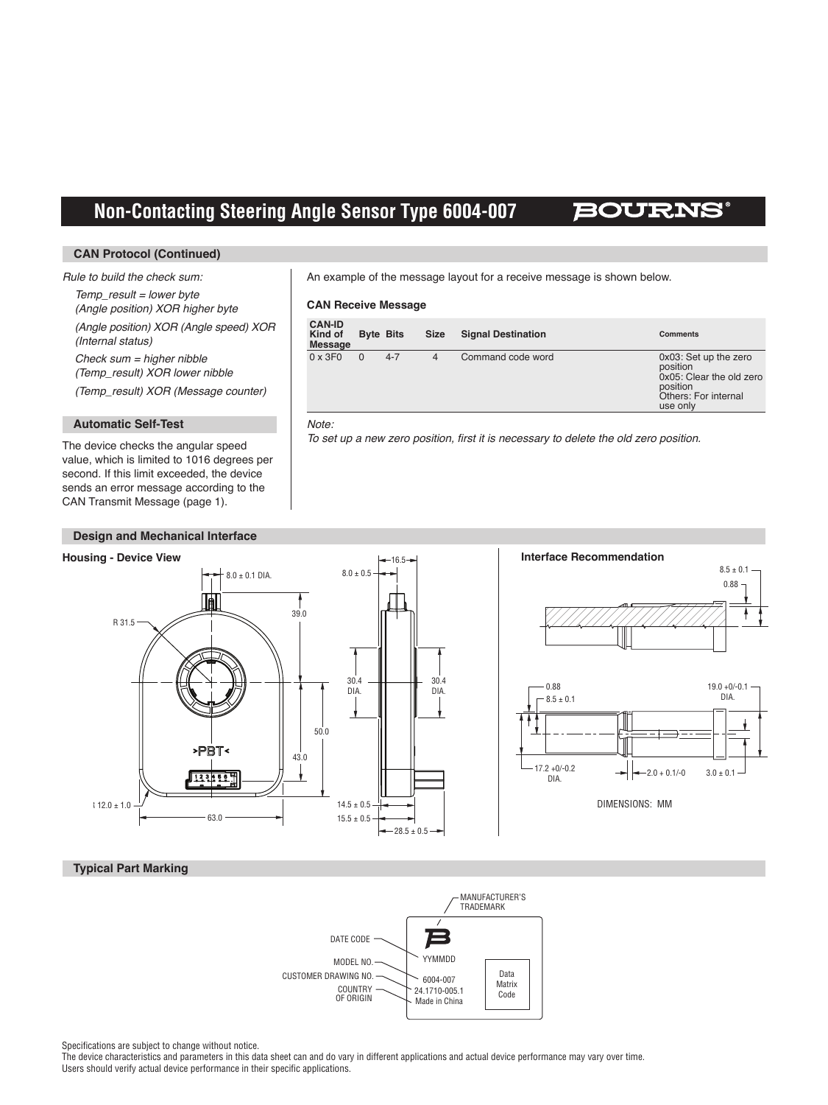## **Non-Contacting Steering Angle Sensor Type 6004-007**

### BOURNS

#### **CAN Protocol (Continued)**

#### Rule to build the check sum:

 $Temp$  result = lower byte (Angle position) XOR higher byte (Angle position) XOR (Angle speed) XOR (Internal status)  $Check sum = higher nibble$ 

 (Temp\_result) XOR lower nibble

 (Temp\_result) XOR (Message counter)

#### **Automatic Self-Test**

The device checks the angular speed value, which is limited to 1016 degrees per second. If this limit exceeded, the device sends an error message according to the CAN Transmit Message (page 1).

#### **Design and Mechanical Interface**

An example of the message layout for a receive message is shown below.

#### **CAN Receive Message**

| <b>CAN-ID</b><br>Kind of<br><b>Message</b> | <b>Byte Bits</b> |         | <b>Size</b> | <b>Signal Destination</b> | <b>Comments</b>                                                                                               |
|--------------------------------------------|------------------|---------|-------------|---------------------------|---------------------------------------------------------------------------------------------------------------|
| $0 \times 3F0$                             |                  | $4 - 7$ | 4           | Command code word         | 0x03: Set up the zero<br>position<br>0x05: Clear the old zero<br>position<br>Others: For internal<br>use only |

#### Note:

To set up a new zero position, first it is necessary to delete the old zero position.



#### **Typical Part Marking**



Specifications are subject to change without notice.

The device characteristics and parameters in this data sheet can and do vary in different applications and actual device performance may vary over time. Users should verify actual device performance in their specific applications.